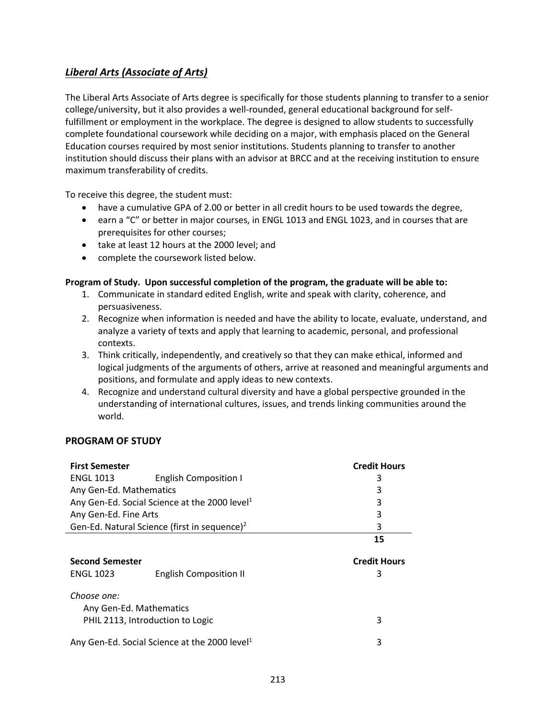## *Liberal Arts (Associate of Arts)*

The Liberal Arts Associate of Arts degree is specifically for those students planning to transfer to a senior college/university, but it also provides a well-rounded, general educational background for selffulfillment or employment in the workplace. The degree is designed to allow students to successfully complete foundational coursework while deciding on a major, with emphasis placed on the General Education courses required by most senior institutions. Students planning to transfer to another institution should discuss their plans with an advisor at BRCC and at the receiving institution to ensure maximum transferability of credits.

To receive this degree, the student must:

- have a cumulative GPA of 2.00 or better in all credit hours to be used towards the degree,
- earn a "C" or better in major courses, in ENGL 1013 and ENGL 1023, and in courses that are prerequisites for other courses;
- take at least 12 hours at the 2000 level; and
- complete the coursework listed below.

## **Program of Study. Upon successful completion of the program, the graduate will be able to:**

- 1. Communicate in standard edited English, write and speak with clarity, coherence, and persuasiveness.
- 2. Recognize when information is needed and have the ability to locate, evaluate, understand, and analyze a variety of texts and apply that learning to academic, personal, and professional contexts.
- 3. Think critically, independently, and creatively so that they can make ethical, informed and logical judgments of the arguments of others, arrive at reasoned and meaningful arguments and positions, and formulate and apply ideas to new contexts.
- 4. Recognize and understand cultural diversity and have a global perspective grounded in the understanding of international cultures, issues, and trends linking communities around the world.

## **PROGRAM OF STUDY**

| <b>First Semester</b>                                     | <b>Credit Hours</b> |
|-----------------------------------------------------------|---------------------|
| <b>ENGL 1013</b><br><b>English Composition I</b>          | 3                   |
| Any Gen-Ed. Mathematics                                   | 3                   |
| Any Gen-Ed. Social Science at the 2000 level <sup>1</sup> | 3                   |
| Any Gen-Ed. Fine Arts                                     | 3                   |
| Gen-Ed. Natural Science (first in sequence) <sup>2</sup>  | 3                   |
|                                                           | 15                  |
|                                                           |                     |
| <b>Second Semester</b>                                    | <b>Credit Hours</b> |
| <b>ENGL 1023</b><br><b>English Composition II</b>         | 3                   |
| Choose one:<br>Any Gen-Ed. Mathematics                    |                     |
| PHIL 2113, Introduction to Logic                          | 3                   |